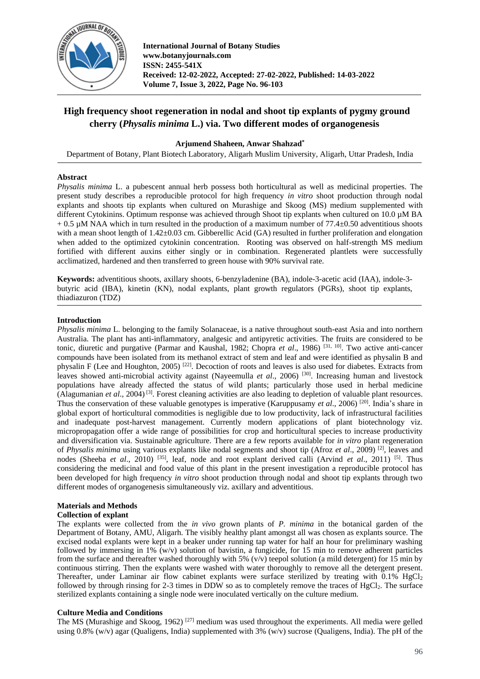

# **High frequency shoot regeneration in nodal and shoot tip explants of pygmy ground cherry (***Physalis minima* **L.) via. Two different modes of organogenesis**

# **Arjumend Shaheen, Anwar Shahzad\***

Department of Botany, Plant Biotech Laboratory, Aligarh Muslim University, Aligarh, Uttar Pradesh, India

# **Abstract**

*Physalis minima* L. a pubescent annual herb possess both horticultural as well as medicinal properties. The present study describes a reproducible protocol for high frequency *in vitro* shoot production through nodal explants and shoots tip explants when cultured on Murashige and Skoog (MS) medium supplemented with different Cytokinins. Optimum response was achieved through Shoot tip explants when cultured on 10.0 µM BA  $+ 0.5$  µM NAA which in turn resulted in the production of a maximum number of 77.4 $\pm$ 0.50 adventitious shoots with a mean shoot length of  $1.42 \pm 0.03$  cm. Gibberellic Acid (GA) resulted in further proliferation and elongation when added to the optimized cytokinin concentration. Rooting was observed on half-strength MS medium fortified with different auxins either singly or in combination. Regenerated plantlets were successfully acclimatized, hardened and then transferred to green house with 90% survival rate.

**Keywords:** adventitious shoots, axillary shoots, 6-benzyladenine (BA), indole-3-acetic acid (IAA), indole-3 butyric acid (IBA), kinetin (KN), nodal explants, plant growth regulators (PGRs), shoot tip explants, thiadiazuron (TDZ)

## **Introduction**

*Physalis minima* L. belonging to the family Solanaceae, is a native throughout south-east Asia and into northern Australia. The plant has anti-inflammatory, analgesic and antipyretic activities. The fruits are considered to be tonic, diuretic and purgative (Parmar and Kaushal, 1982; Chopra *et al.*, 1986)<sup>[31, 10]</sup>. Two active anti-cancer compounds have been isolated from its methanol extract of stem and leaf and were identified as physalin B and physalin F (Lee and Houghton, 2005)<sup>[22]</sup>. Decoction of roots and leaves is also used for diabetes. Extracts from leaves showed anti-microbial activity against (Nayeemulla et al., 2006)<sup>[30]</sup>. Increasing human and livestock populations have already affected the status of wild plants; particularly those used in herbal medicine (Alagumanian *et al*., 2004) [3] . Forest cleaning activities are also leading to depletion of valuable plant resources. Thus the conservation of these valuable genotypes is imperative (Karuppusamy *et al.*, 2006)<sup>[20]</sup>. India's share in global export of horticultural commodities is negligible due to low productivity, lack of infrastructural facilities and inadequate post-harvest management. Currently modern applications of plant biotechnology viz. micropropagation offer a wide range of possibilities for crop and horticultural species to increase productivity and diversification via. Sustainable agriculture. There are a few reports available for *in vitro* plant regeneration of *Physalis minima* using various explants like nodal segments and shoot tip (Afroz *et al*., 2009) [2] , leaves and nodes (Sheeba *et al.*, 2010)<sup>[35]</sup>, leaf, node and root explant derived calli (Arvind *et al.*, 2011)<sup>[5]</sup>. Thus considering the medicinal and food value of this plant in the present investigation a reproducible protocol has been developed for high frequency *in vitro* shoot production through nodal and shoot tip explants through two different modes of organogenesis simultaneously viz. axillary and adventitious.

# **Materials and Methods**

# **Collection of explant**

The explants were collected from the *in vivo* grown plants of *P. minima* in the botanical garden of the Department of Botany, AMU, Aligarh. The visibly healthy plant amongst all was chosen as explants source. The excised nodal explants were kept in a beaker under running tap water for half an hour for preliminary washing followed by immersing in 1%  $(w/v)$  solution of bavistin, a fungicide, for 15 min to remove adherent particles from the surface and thereafter washed thoroughly with 5% (v/v) teepol solution (a mild detergent) for 15 min by continuous stirring. Then the explants were washed with water thoroughly to remove all the detergent present. Thereafter, under Laminar air flow cabinet explants were surface sterilized by treating with  $0.1\%$  HgCl<sub>2</sub> followed by through rinsing for 2-3 times in DDW so as to completely remove the traces of  $HgCl<sub>2</sub>$ . The surface sterilized explants containing a single node were inoculated vertically on the culture medium.

# **Culture Media and Conditions**

The MS (Murashige and Skoog, 1962)<sup>[27]</sup> medium was used throughout the experiments. All media were gelled using 0.8% (w/v) agar (Qualigens, India) supplemented with 3% (w/v) sucrose (Qualigens, India). The pH of the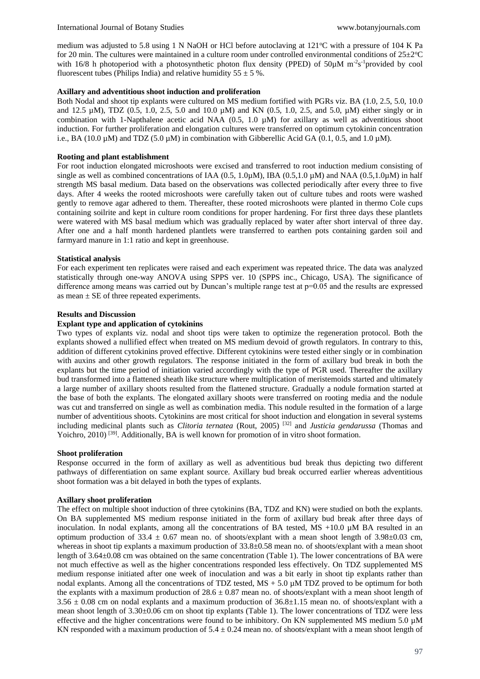medium was adjusted to 5.8 using 1 N NaOH or HCl before autoclaving at  $121^{\circ}$ C with a pressure of 104 K Pa for 20 min. The cultures were maintained in a culture room under controlled environmental conditions of  $25\pm2\degree C$ with 16/8 h photoperiod with a photosynthetic photon flux density (PPED) of  $50\mu$ M m<sup>-2</sup>s<sup>-1</sup>provided by cool fluorescent tubes (Philips India) and relative humidity  $55 \pm 5$  %.

# **Axillary and adventitious shoot induction and proliferation**

Both Nodal and shoot tip explants were cultured on MS medium fortified with PGRs viz. BA (1.0, 2.5, 5.0, 10.0 and 12.5 µM), TDZ (0.5, 1.0, 2.5, 5.0 and 10.0 µM) and KN (0.5, 1.0, 2.5, and 5.0, µM) either singly or in combination with 1-Napthalene acetic acid NAA  $(0.5, 1.0 \mu M)$  for axillary as well as adventitious shoot induction. For further proliferation and elongation cultures were transferred on optimum cytokinin concentration i.e., BA (10.0  $\mu$ M) and TDZ (5.0  $\mu$ M) in combination with Gibberellic Acid GA (0.1, 0.5, and 1.0  $\mu$ M).

# **Rooting and plant establishment**

For root induction elongated microshoots were excised and transferred to root induction medium consisting of single as well as combined concentrations of IAA (0.5, 1.0 $\mu$ M), IBA (0.5,1.0  $\mu$ M) and NAA (0.5,1.0 $\mu$ M) in half strength MS basal medium. Data based on the observations was collected periodically after every three to five days. After 4 weeks the rooted microshoots were carefully taken out of culture tubes and roots were washed gently to remove agar adhered to them. Thereafter, these rooted microshoots were planted in thermo Cole cups containing soilrite and kept in culture room conditions for proper hardening. For first three days these plantlets were watered with MS basal medium which was gradually replaced by water after short interval of three day. After one and a half month hardened plantlets were transferred to earthen pots containing garden soil and farmyard manure in 1:1 ratio and kept in greenhouse.

## **Statistical analysis**

For each experiment ten replicates were raised and each experiment was repeated thrice. The data was analyzed statistically through one-way ANOVA using SPPS ver. 10 (SPPS inc., Chicago, USA). The significance of difference among means was carried out by Duncan's multiple range test at  $p=0.05$  and the results are expressed as mean  $\pm$  SE of three repeated experiments.

## **Results and Discussion**

# **Explant type and application of cytokinins**

Two types of explants viz. nodal and shoot tips were taken to optimize the regeneration protocol. Both the explants showed a nullified effect when treated on MS medium devoid of growth regulators. In contrary to this, addition of different cytokinins proved effective. Different cytokinins were tested either singly or in combination with auxins and other growth regulators. The response initiated in the form of axillary bud break in both the explants but the time period of initiation varied accordingly with the type of PGR used. Thereafter the axillary bud transformed into a flattened sheath like structure where multiplication of meristemoids started and ultimately a large number of axillary shoots resulted from the flattened structure. Gradually a nodule formation started at the base of both the explants. The elongated axillary shoots were transferred on rooting media and the nodule was cut and transferred on single as well as combination media. This nodule resulted in the formation of a large number of adventitious shoots. Cytokinins are most critical for shoot induction and elongation in several systems including medicinal plants such as *Clitoria ternatea* (Rout, 2005) [32] and *Justicia gendarussa* (Thomas and Yoichro, 2010)<sup>[39]</sup>. Additionally, BA is well known for promotion of in vitro shoot formation.

## **Shoot proliferation**

Response occurred in the form of axillary as well as adventitious bud break thus depicting two different pathways of differentiation on same explant source. Axillary bud break occurred earlier whereas adventitious shoot formation was a bit delayed in both the types of explants.

#### **Axillary shoot proliferation**

The effect on multiple shoot induction of three cytokinins (BA, TDZ and KN) were studied on both the explants. On BA supplemented MS medium response initiated in the form of axillary bud break after three days of inoculation. In nodal explants, among all the concentrations of BA tested,  $\overline{MS}$  +10.0  $\mu$ M BA resulted in an optimum production of 33.4  $\pm$  0.67 mean no. of shoots/explant with a mean shoot length of 3.98 $\pm$ 0.03 cm, whereas in shoot tip explants a maximum production of  $33.8\pm0.58$  mean no. of shoots/explant with a mean shoot length of 3.64±0.08 cm was obtained on the same concentration (Table 1). The lower concentrations of BA were not much effective as well as the higher concentrations responded less effectively. On TDZ supplemented MS medium response initiated after one week of inoculation and was a bit early in shoot tip explants rather than nodal explants. Among all the concentrations of TDZ tested,  $MS + 5.0 \mu M$  TDZ proved to be optimum for both the explants with a maximum production of  $28.6 \pm 0.87$  mean no. of shoots/explant with a mean shoot length of  $3.56 \pm 0.08$  cm on nodal explants and a maximum production of  $36.8 \pm 1.15$  mean no. of shoots/explant with a mean shoot length of 3.30±0.06 cm on shoot tip explants (Table 1). The lower concentrations of TDZ were less effective and the higher concentrations were found to be inhibitory. On KN supplemented MS medium 5.0 µM KN responded with a maximum production of  $5.4 \pm 0.24$  mean no. of shoots/explant with a mean shoot length of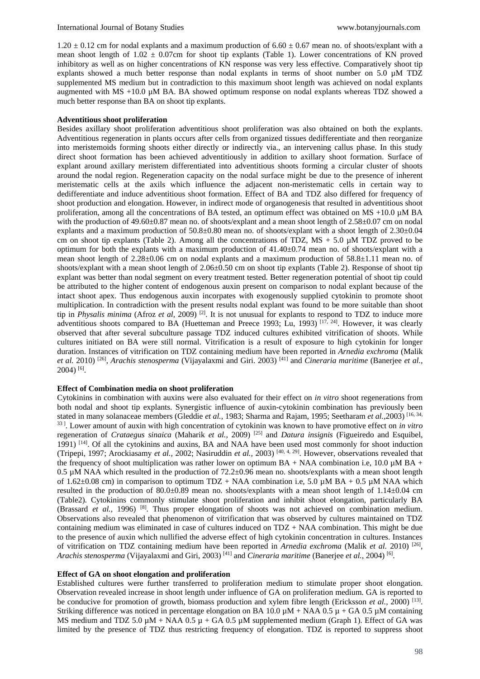$1.20 \pm 0.12$  cm for nodal explants and a maximum production of 6.60  $\pm$  0.67 mean no. of shoots/explant with a mean shoot length of  $1.02 \pm 0.07$ cm for shoot tip explants (Table 1). Lower concentrations of KN proved inhibitory as well as on higher concentrations of KN response was very less effective. Comparatively shoot tip explants showed a much better response than nodal explants in terms of shoot number on 5.0  $\mu$ M TDZ supplemented MS medium but in contradiction to this maximum shoot length was achieved on nodal explants augmented with MS +10.0 µM BA. BA showed optimum response on nodal explants whereas TDZ showed a much better response than BA on shoot tip explants.

#### **Adventitious shoot proliferation**

Besides axillary shoot proliferation adventitious shoot proliferation was also obtained on both the explants. Adventitious regeneration in plants occurs after cells from organized tissues dedifferentiate and then reorganize into meristemoids forming shoots either directly or indirectly via., an intervening callus phase. In this study direct shoot formation has been achieved adventitiously in addition to axillary shoot formation. Surface of explant around axillary meristem differentiated into adventitious shoots forming a circular cluster of shoots around the nodal region. Regeneration capacity on the nodal surface might be due to the presence of inherent meristematic cells at the axils which influence the adjacent non-meristematic cells in certain way to dedifferentiate and induce adventitious shoot formation. Effect of BA and TDZ also differed for frequency of shoot production and elongation. However, in indirect mode of organogenesis that resulted in adventitious shoot proliferation, among all the concentrations of BA tested, an optimum effect was obtained on MS +10.0 µM BA with the production of 49.60 $\pm$ 0.87 mean no. of shoots/explant and a mean shoot length of 2.58 $\pm$ 0.07 cm on nodal explants and a maximum production of 50.8±0.80 mean no. of shoots/explant with a shoot length of 2.30±0.04 cm on shoot tip explants (Table 2). Among all the concentrations of TDZ,  $MS + 5.0 \mu M$  TDZ proved to be optimum for both the explants with a maximum production of 41.40±0.74 mean no. of shoots/explant with a mean shoot length of 2.28±0.06 cm on nodal explants and a maximum production of 58.8±1.11 mean no. of shoots/explant with a mean shoot length of  $2.06\pm0.50$  cm on shoot tip explants (Table 2). Response of shoot tip explant was better than nodal segment on every treatment tested. Better regeneration potential of shoot tip could be attributed to the higher content of endogenous auxin present on comparison to nodal explant because of the intact shoot apex. Thus endogenous auxin incorpates with exogenously supplied cytokinin to promote shoot multiplication. In contradiction with the present results nodal explant was found to be more suitable than shoot tip in *Physalis minima* (Afroz *et al,* 2009)<sup>[2]</sup>. It is not unusual for explants to respond to TDZ to induce more adventitious shoots compared to BA (Huetteman and Preece 1993; Lu, 1993)  $[17, 24]$ . However, it was clearly observed that after several subculture passage TDZ induced cultures exhibited vitrification of shoots. While cultures initiated on BA were still normal. Vitrification is a result of exposure to high cytokinin for longer duration. Instances of vitrification on TDZ containing medium have been reported in *Arnedia exchroma* (Malik *et al.* 2010) [26] , *Arachis stenosperma* (Vijayalaxmi and Giri. 2003) [41] and *Cineraria maritime* (Banerjee *et al.,*  2004) [6] .

#### **Effect of Combination media on shoot proliferation**

Cytokinins in combination with auxins were also evaluated for their effect on *in vitro* shoot regenerations from both nodal and shoot tip explants. Synergistic influence of auxin-cytokinin combination has previously been stated in many solanaceae members (Gleddie *et al.,* 1983; Sharma and Rajam, 1995; Seetharam *et al.,*2003) [16, 34, 33 ] . Lower amount of auxin with high concentration of cytokinin was known to have promotive effect on *in vitro* regeneration of *Crataegus sinaica* (Maharik *et al.,* 2009) [25] and *Datura insignis* (Figueiredo and Esquibel, 1991) <sup>[14]</sup>. Of all the cytokinins and auxins, BA and NAA have been used most commonly for shoot induction (Tripepi, 1997; Arockiasamy *et al.,* 2002; Nasiruddin *et al.,* 2003) [40, 4, 29] . However, observations revealed that the frequency of shoot multiplication was rather lower on optimum BA + NAA combination i.e, 10.0  $\mu$ M BA + 0.5  $\mu$ M NAA which resulted in the production of 72.2 $\pm$ 0.96 mean no. shoots/explants with a mean shoot length of 1.62 $\pm$ 0.08 cm) in comparison to optimum TDZ + NAA combination i.e, 5.0  $\mu$ M BA + 0.5  $\mu$ M NAA which resulted in the production of 80.0 $\pm$ 0.89 mean no. shoots/explants with a mean shoot length of 1.14 $\pm$ 0.04 cm (Table2). Cytokinins commonly stimulate shoot proliferation and inhibit shoot elongation, particularly BA (Brassard *et al.*, 1996) <sup>[8]</sup>. Thus proper elongation of shoots was not achieved on combination medium. Observations also revealed that phenomenon of vitrification that was observed by cultures maintained on TDZ containing medium was eliminated in case of cultures induced on  $TDZ + NAA$  combination. This might be due to the presence of auxin which nullified the adverse effect of high cytokinin concentration in cultures. Instances of vitrification on TDZ containing medium have been reported in *Arnedia exchroma* (Malik *et al.* 2010) [26] , Arachis stenosperma (Vijayalaxmi and Giri, 2003) <sup>[41]</sup> and *Cineraria maritime* (Banerjee *et al.*, 2004) <sup>[6]</sup>.

#### **Effect of GA on shoot elongation and proliferation**

Established cultures were further transferred to proliferation medium to stimulate proper shoot elongation. Observation revealed increase in shoot length under influence of GA on proliferation medium. GA is reported to be conducive for promotion of growth, biomass production and xylem fibre length (Ericksson *et al.*, 2000)<sup>[13]</sup>. Striking difference was noticed in percentage elongation on BA 10.0  $\mu$ M + NAA 0.5  $\mu$  + GA 0.5  $\mu$ M containing MS medium and TDZ 5.0  $\mu$ M + NAA 0.5  $\mu$  + GA 0.5  $\mu$ M supplemented medium (Graph 1). Effect of GA was limited by the presence of TDZ thus restricting frequency of elongation. TDZ is reported to suppress shoot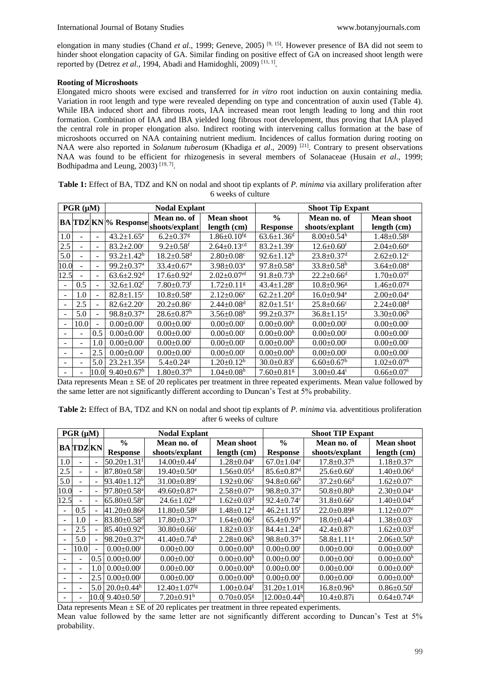elongation in many studies (Chand *et al.*, 1999; Geneve, 2005)<sup>[9, 15]</sup>. However presence of BA did not seem to hinder shoot elongation capacity of GA. Similar finding on positive effect of GA on increased shoot length were reported by (Detrez et al., 1994, Abadi and Hamidoghli, 2009)<sup>[11, 1]</sup>.

# **Rooting of Microshoots**

Elongated micro shoots were excised and transferred for *in vitro* root induction on auxin containing media. Variation in root length and type were revealed depending on type and concentration of auxin used (Table 4). While IBA induced short and fibrous roots, IAA increased mean root length leading to long and thin root formation. Combination of IAA and IBA yielded long fibrous root development, thus proving that IAA played the central role in proper elongation also. Indirect rooting with intervening callus formation at the base of microshoots occurred on NAA containing nutrient medium. Incidences of callus formation during rooting on NAA were also reported in *Solanum tuberosum* (Khadiga *et al.*, 2009)<sup>[21]</sup>. Contrary to present observations NAA was found to be efficient for rhizogenesis in several members of Solanaceae (Husain *et al*., 1999; Bodhipadma and Leung, 2003)<sup>[19, 7]</sup>.

| $PGR(\mu M)$             |      |                          | <b>Nodal Explant</b>         |                                                           |                               | <b>Shoot Tip Expant</b>          |                               |                              |
|--------------------------|------|--------------------------|------------------------------|-----------------------------------------------------------|-------------------------------|----------------------------------|-------------------------------|------------------------------|
|                          |      |                          |                              | Mean no. of<br><b>BA</b> TDZ KN % Response shoots/explant | Mean shoot<br>length (cm)     | $\frac{0}{0}$<br><b>Response</b> | Mean no. of<br>shoots/explant | Mean shoot<br>length (cm)    |
| 1.0                      | ۰    | ÷.                       | $43.2 \pm 1.65^e$            | $6.2 \pm 0.37$ <sup>g</sup>                               | $1.86 \pm 0.10$ <sup>fg</sup> | $63.6 \pm 1.36$ <sup>d</sup>     | $8.00 \pm 0.54$ <sup>h</sup>  | $1.48 \pm 0.58$ <sup>g</sup> |
| 2.5                      | ٠    | ٠                        | $83.2 \pm 2.00$ <sup>c</sup> | $9.2 \pm 0.58$ <sup>f</sup>                               | $2.64 \pm 0.13$ <sup>cd</sup> | $83.2 \pm 1.39$ <sup>c</sup>     | $12.6 \pm 0.60^{\mathrm{f}}$  | $2.04 \pm 0.60^e$            |
| 5.0                      |      | ÷                        | $93.2 \pm 1.42^b$            | $18.2 \pm 0.58$ <sup>d</sup>                              | $2.80 \pm 0.08$ <sup>c</sup>  | $92.6 \pm 1.12^b$                | $23.8 \pm 0.37$ <sup>d</sup>  | $2.62 \pm 0.12$ <sup>c</sup> |
| 10.0                     | ÷.   | $\blacksquare$           | $99.2 \pm 0.37$ <sup>a</sup> | $33.4 \pm 0.67$ <sup>a</sup>                              | $3.98 \pm 0.03$ <sup>a</sup>  | $97.8 \pm 0.58$ <sup>a</sup>     | $33.8 \pm 0.58^b$             | $3.64 \pm 0.08^a$            |
| 12.5                     |      | $\overline{\phantom{a}}$ | $63.6 \pm 2.92$ <sup>d</sup> | $17.6 \pm 0.92$ <sup>d</sup>                              | $2.02+0.07$ <sup>ef</sup>     | $91.8 \pm 0.73^b$                | $22.2 \pm 0.66$ <sup>d</sup>  | $1.70 \pm 0.07$ <sup>f</sup> |
|                          | 0.5  | $\blacksquare$           | $32.6 \pm 1.02$ <sup>f</sup> | $7.80 \pm 0.73$ <sup>f</sup>                              | $1.72+0.11g$                  | $43.4 \pm 1.28$ <sup>e</sup>     | $10.8 \pm 0.96$ g             | $1.46 \pm 0.07$ <sup>g</sup> |
|                          | 1.0  | ÷.                       | $82.8 \pm 1.15$ <sup>c</sup> | $10.8 \pm 0.58$ <sup>e</sup>                              | $2.12 \pm 0.06$ <sup>e</sup>  | $62.2 \pm 1.20$ <sup>d</sup>     | $16.0 \pm 0.94$ <sup>e</sup>  | $2.00 \pm 0.04$ <sup>e</sup> |
|                          | 2.5  | $\sim$                   | $82.6 \pm 2.20$ <sup>c</sup> | $20.2 \pm 0.86$ <sup>c</sup>                              | $2.44 \pm 0.08$ <sup>d</sup>  | $82.0 \pm 1.51$ <sup>c</sup>     | $25.8 \pm 0.66$ <sup>c</sup>  | $2.24 \pm 0.08$ <sup>d</sup> |
| $\overline{\phantom{a}}$ | 5.0  | $\blacksquare$           | $98.8 \pm 0.37$ <sup>a</sup> | $28.6 \pm 0.87$ <sup>b</sup>                              | $3.56 \pm 0.08^b$             | $99.2 \pm 0.37$ <sup>a</sup>     | $36.8 \pm 1.15^a$             | $3.30\pm0.06^b$              |
| $\overline{\phantom{0}}$ | 10.0 | $\blacksquare$           | $0.00 \pm 0.00^{\mathrm{i}}$ | $0.00 \pm 0.00^{\rm i}$                                   | $0.00 \pm 0.00^{\mathrm{i}}$  | $0.00 \pm 0.00^h$                | $0.00 \pm 0.00$               | $0.00 \pm 0.00$ <sup>j</sup> |
|                          | L,   | 0.5                      | $0.00 \pm 0.00^{\mathrm{i}}$ | $0.00 \pm 0.00^{\mathrm{i}}$                              | $0.00 \pm 0.00^{\mathrm{i}}$  | $0.00 \pm 0.00^h$                | $0.00 \pm 0.00$               | $0.00 \pm 0.00$ <sup>j</sup> |
|                          | ٠    | 1.0                      | $0.00 \pm 0.00^{\mathrm{i}}$ | $0.00 \pm 0.00^{\mathrm{i}}$                              | $0.00 \pm 0.00^{\mathrm{i}}$  | $0.00 \pm 0.00^h$                | $0.00 \pm 0.00$               | $0.00 \pm 0.00$ <sup>j</sup> |
|                          | ۰    | 2.5                      | $0.00 \pm 0.00^{\mathrm{i}}$ | $0.00 \pm 0.00^{\rm i}$                                   | $0.00 \pm 0.00^{\mathrm{i}}$  | $0.00 \pm 0.00^{\text{h}}$       | $0.00 \pm 0.00$               | $0.00 \pm 0.00$              |
|                          | ٠    | 5.0                      | $23.2 \pm 1.35$ <sup>g</sup> | $5.4 \pm 0.24$ <sup>g</sup>                               | $1.20 \pm 0.12^h$             | $30.0 \pm 0.83$ <sup>f</sup>     | $6.60 \pm 0.67$ <sup>h</sup>  | $1.02 \pm 0.07$ <sup>h</sup> |
|                          |      | 10.0                     | $9.40 \pm 0.67$ <sup>h</sup> | $1.80 \pm 0.37$ <sup>h</sup>                              | $1.04 \pm 0.08$ <sup>h</sup>  | $7.60 \pm 0.81$ <sup>g</sup>     | $3.00 \pm 0.44^{\mathrm{i}}$  | $0.66 \pm 0.07$              |

**Table 1:** Effect of BA, TDZ and KN on nodal and shoot tip explants of *P. minima* via axillary proliferation after 6 weeks of culture

Data represents Mean ± SE of 20 replicates per treatment in three repeated experiments. Mean value followed by the same letter are not significantly different according to Duncan's Test at 5% probability.

**Table 2:** Effect of BA, TDZ and KN on nodal and shoot tip explants of *P. minima* via. adventitious proliferation after 6 weeks of culture

| $PGR(\mu M)$             |                |                | <b>Nodal Explant</b>                |                                |                              | <b>Shoot TIP Expant</b>       |                              |                              |
|--------------------------|----------------|----------------|-------------------------------------|--------------------------------|------------------------------|-------------------------------|------------------------------|------------------------------|
|                          | <b>BATDZKN</b> |                | $\frac{0}{0}$                       | Mean no. of                    | <b>Mean shoot</b>            | $\frac{0}{0}$                 | Mean no. of                  | <b>Mean shoot</b>            |
|                          |                |                | <b>Response</b>                     | shoots/explant                 | length (cm)                  | <b>Response</b>               | shoots/explant               | length (cm)                  |
| 1.0                      |                |                | $50.20 \pm 1.31$ <sup>f</sup>       | $14.00 \pm 0.44$ <sup>f</sup>  | $1.28 \pm 0.04^e$            | $67.0 \pm 1.04$ <sup>e</sup>  | $17.8 \pm 0.37$ <sup>h</sup> | $1.18 \pm 0.37$ <sup>e</sup> |
| 2.5                      |                |                | $87.80 \pm 0.58$ °                  | $19.40 \pm 0.50$ <sup>e</sup>  | $1.56 \pm 0.05$ <sup>d</sup> | $85.6 \pm 0.87$ <sup>d</sup>  | $25.6 \pm 0.60^{\mathrm{f}}$ | $1.40 \pm 0.06$ <sup>d</sup> |
| 5.0                      |                |                | $93.40 \pm 1.12^b$                  | $31.00 \pm 0.89$ <sup>c</sup>  | $1.92 \pm 0.06$ <sup>c</sup> | $94.8 \pm 0.66^b$             | $37.2 \pm 0.66$ <sup>d</sup> | $1.62 \pm 0.07$ <sup>c</sup> |
| 10.0                     |                | ۰              | $97.80 \pm 0.58$ <sup>a</sup>       | 49.60±0.87 <sup>a</sup>        | $2.58 \pm 0.07$ <sup>a</sup> | $98.8 \pm 0.37$ <sup>a</sup>  | $50.8 \pm 0.80$ <sup>b</sup> | $2.30 \pm 0.04$ <sup>a</sup> |
| 12.5                     |                | ÷              | $65.80 \pm 0.58$ <sup>e</sup>       | $24.6 \pm 1.02$ <sup>d</sup>   | $1.62 \pm 0.03$ <sup>d</sup> | $92.4 \pm 0.74$ c             | $31.8 \pm 0.66$ <sup>e</sup> | $1.40 \pm 0.04$ <sup>d</sup> |
|                          | 0.5            |                | $41.20 \pm 0.86$ <sup>g</sup>       | $11.80 \pm 0.58$ <sup>g</sup>  | $1.48 \pm 0.12$ <sup>d</sup> | $46.2 \pm 1.15$ <sup>f</sup>  | $22.0 \pm 0.89$ <sup>g</sup> | $1.12 \pm 0.07$ <sup>e</sup> |
|                          | 1.0            |                | $83.80 \pm 0.58$ <sup>d</sup>       | $17.80 \pm 0.37$ <sup>e</sup>  | $1.64 \pm 0.06$ <sup>d</sup> | $65.4 \pm 0.97$ <sup>e</sup>  | $18.0 \pm 0.44$ <sup>h</sup> | $1.38 \pm 0.03$ <sup>c</sup> |
|                          | 2.5            | ÷.             | 85.40±0.92 <sup>d</sup>             | $30.80 \pm 0.66$ c             | $1.82 \pm 0.03$ <sup>c</sup> | $84.4 \pm 1.24$ <sup>d</sup>  | $42.4 \pm 0.87$ <sup>c</sup> | $1.62 \pm 0.03$ <sup>d</sup> |
| $\overline{\phantom{a}}$ | 5.0            | ÷              | 98.20±0.37 <sup>a</sup>             | $41.40 \pm 0.74$ <sup>b</sup>  | $2.28 \pm 0.06^b$            | $98.8 \pm 0.37$ <sup>a</sup>  | $58.8 \pm 1.11^a$            | $2.06 \pm 0.50^b$            |
| ۰                        | 10.0           | $\blacksquare$ | $0.00 \pm 0.00$                     | $0.00 \pm 0.00^{\mathrm{i}}$   | $0.00 \pm 0.00^h$            | $0.00 \pm 0.00^{\rm i}$       | $0.00 \pm 0.00$              | $0.00 \pm 0.00^h$            |
|                          |                | 0.5            | $0.00 \pm 0.00$                     | $0.00 \pm 0.00^{\mathrm{i}}$   | $0.00 \pm 0.00^h$            | $0.00 \pm 0.00^{\mathrm{i}}$  | $0.00 \pm 0.00$              | $0.00 \pm 0.00^h$            |
|                          |                | 1.0            | $0.00 \pm 0.00$                     | $0.00 \pm 0.00^{\mathrm{i}}$   | $0.00 \pm 0.00^{\rm h}$      | $0.00 \pm 0.00^{\mathrm{i}}$  | $0.00 \pm 0.00$              | $0.00 \pm 0.00^h$            |
|                          |                | 2.5            | $0.00 \pm 0.00$                     | $0.00 \pm 0.00^{\mathrm{i}}$   | $0.00 \pm 0.00^h$            | $0.00 \pm 0.00^{\mathrm{i}}$  | $0.00 \pm 0.00$              | $0.00 \pm 0.00^h$            |
|                          |                | 5.0            | $20.0 \pm 0.44$ <sup>h</sup>        | $12.40 \pm 1.07$ <sup>fg</sup> | $1.00 \pm 0.04$ <sup>f</sup> | $31.20 \pm 1.01$ <sup>g</sup> | $16.8 \pm 0.96$ <sup>h</sup> | $0.86 \pm 0.50$ <sup>f</sup> |
|                          |                |                | $10.0$ 9.40 $\pm$ 0.50 <sup>i</sup> | $7.20 \pm 0.91$ <sup>h</sup>   | $0.70 \pm 0.05$ <sup>g</sup> | $12.00 \pm 0.44$ <sup>h</sup> | $10.4 \pm 0.87i$             | $0.64 \pm 0.74$ <sup>g</sup> |

Data represents Mean  $\pm$  SE of 20 replicates per treatment in three repeated experiments. Mean value followed by the same letter are not significantly different according to Duncan's Test at 5% probability.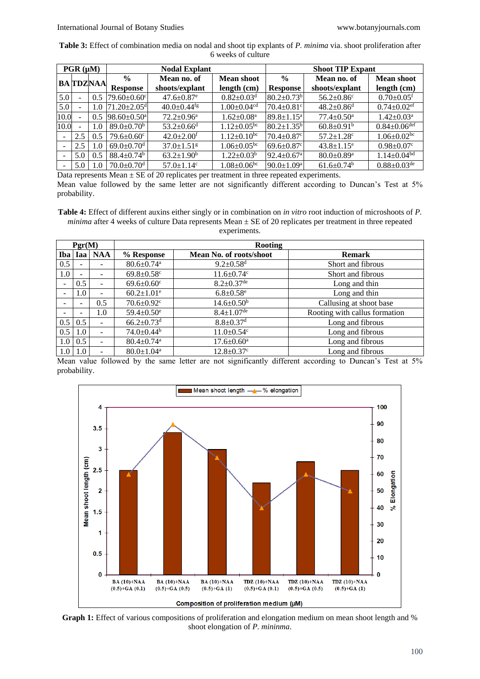**Table 3:** Effect of combination media on nodal and shoot tip explants of *P. minima* via. shoot proliferation after 6 weeks of culture

| $PGR(\mu M)$             |     |                 | <b>Nodal Explant</b>         |                              |                               | <b>Shoot TIP Expant</b>       |                              |                               |
|--------------------------|-----|-----------------|------------------------------|------------------------------|-------------------------------|-------------------------------|------------------------------|-------------------------------|
|                          |     | <b>BATDZNAA</b> | $\frac{0}{0}$                | Mean no. of                  | <b>Mean shoot</b>             | $\frac{0}{0}$                 | Mean no. of                  | <b>Mean shoot</b>             |
|                          |     |                 | Response                     | shoots/explant               | length (cm)                   | <b>Response</b>               | shoots/explant               | length (cm)                   |
| 5.0                      |     | 0.5             | $79.60 \pm 0.60$ c           | $47.6 \pm 0.87$ <sup>e</sup> | $0.82 \pm 0.03$ <sup>d</sup>  | $80.2 \pm 0.73$ <sup>b</sup>  | $56.2 \pm 0.86$ <sup>c</sup> | $0.70 \pm 0.05$ <sup>f</sup>  |
| 5.0                      |     | 1.0             | $71.20 + 2.05$ <sup>d</sup>  | $40.0+0.44$ <sup>fg</sup>    | $1.00 \pm 0.04$ <sup>cd</sup> | $70.4 \pm 0.81$ <sup>c</sup>  | $48.2 \pm 0.86$ <sup>d</sup> | $0.74 \pm 0.02$ <sup>ef</sup> |
| 10.0                     |     | 0.5             | $98.60 \pm 0.50^{\text{a}}$  | $72.2 \pm 0.96^a$            | $1.62 \pm 0.08^a$             | $89.8 \pm 1.15$ <sup>a</sup>  | $77.4 \pm 0.50$ <sup>a</sup> | $1.42 \pm 0.03^a$             |
| 10.0                     |     | 1.0             | $89.0 \pm 0.70^b$            | $53.2 + 0.66$ <sup>d</sup>   | $1.12 \pm 0.05$ <sup>bc</sup> | $80.2 \pm 1.35^{\circ}$       | $60.8 \pm 0.91$ <sup>b</sup> | $0.84 \pm 0.06$ def           |
|                          | 2.5 | 0.5             | $79.6 \pm 0.60$ <sup>c</sup> | $42.0 \pm 2.00$ <sup>f</sup> | $1.12 \pm 0.10^{bc}$          | $70.4 \pm 0.87$ <sup>c</sup>  | $57.2 \pm 1.28$ <sup>c</sup> | $1.06 \pm 0.02$ bc            |
| $\overline{\phantom{a}}$ | 2.5 | 1.0             | 69.0 $\pm$ 0.70 $^{\rm d}$   | $37.0 \pm 1.51$ <sup>g</sup> | $1.06 \pm 0.05$ <sup>bc</sup> | 69.6 $\pm$ 0.87 $\textdegree$ | $43.8 \pm 1.15$ <sup>e</sup> | $0.98 \pm 0.07$ <sup>c</sup>  |
| $\overline{\phantom{0}}$ | 5.0 | 0.5             | $88.4 \pm 0.74$ <sup>b</sup> | $63.2 \pm 1.90^b$            | $1.22 \pm 0.03^b$             | $92.4 \pm 0.67$ <sup>a</sup>  | $80.0 \pm 0.89$ <sup>a</sup> | $1.14 \pm 0.04^{bd}$          |
|                          | 5.0 | 1.0             | $70.0 \pm 0.70$ <sup>d</sup> | $57.0 \pm 1.14$ <sup>c</sup> | $1.08 \pm 0.06$ <sup>bc</sup> | $90.0 \pm 1.09^{\text{a}}$    | $61.6 \pm 0.74$ <sup>b</sup> | $0.88 \pm 0.03$ <sup>de</sup> |

Data represents Mean  $\pm$  SE of 20 replicates per treatment in three repeated experiments. Mean value followed by the same letter are not significantly different according to Duncan's Test at 5% probability.

**Table 4:** Effect of different auxins either singly or in combination on *in vitro* root induction of microshoots of *P. minima* after 4 weeks of culture Data represents Mean  $\pm$  SE of 20 replicates per treatment in three repeated

| Pgr(M)     |     |            | <b>Rooting</b>               |                              |                               |  |  |  |
|------------|-----|------------|------------------------------|------------------------------|-------------------------------|--|--|--|
| <b>Iba</b> | Iaa | <b>NAA</b> | % Response                   | Mean No. of roots/shoot      | <b>Remark</b>                 |  |  |  |
| 0.5        |     |            | $80.6 \pm 0.74$ <sup>a</sup> | $9.2 \pm 0.58$ <sup>d</sup>  | Short and fibrous             |  |  |  |
| 1.0        | -   |            | $69.8 \pm 0.58$ <sup>c</sup> | $11.6 \pm 0.74$ c            | Short and fibrous             |  |  |  |
|            | 0.5 |            | $69.6 \pm 0.60$ <sup>c</sup> | $8.2 \pm 0.37$ <sup>de</sup> | Long and thin                 |  |  |  |
|            | 1.0 |            | $60.2 \pm 1.01$ <sup>e</sup> | $6.8 \pm 0.58$ <sup>e</sup>  | Long and thin                 |  |  |  |
|            |     | 0.5        | $70.6 \pm 0.92$ <sup>c</sup> | $14.6 \pm 0.50^b$            | Callusing at shoot base       |  |  |  |
|            |     | 1.0        | $59.4 \pm 0.50$ <sup>e</sup> | $8.4 \pm 1.07^{\rm de}$      | Rooting with callus formation |  |  |  |
| 0.5        | 0.5 |            | $66.2 \pm 0.73$ <sup>d</sup> | $8.8 \pm 0.37$ <sup>d</sup>  | Long and fibrous              |  |  |  |
| 0.5        | 1.0 |            | $74.0 \pm 0.44$ <sup>b</sup> | $11.0 \pm 0.54$ <sup>c</sup> | Long and fibrous              |  |  |  |
| 1.0        | 0.5 |            | $80.4 \pm 0.74$ <sup>a</sup> | $17.6 \pm 0.60^{\mathrm{a}}$ | Long and fibrous              |  |  |  |
| 1.0        | 1.0 |            | $80.0 \pm 1.04$ <sup>a</sup> | $12.8 \pm 0.37$ °            | Long and fibrous              |  |  |  |

Mean value followed by the same letter are not significantly different according to Duncan's Test at 5% probability.



Graph 1: Effect of various compositions of proliferation and elongation medium on mean shoot length and % shoot elongation of *P. mininma*.

100

experiments.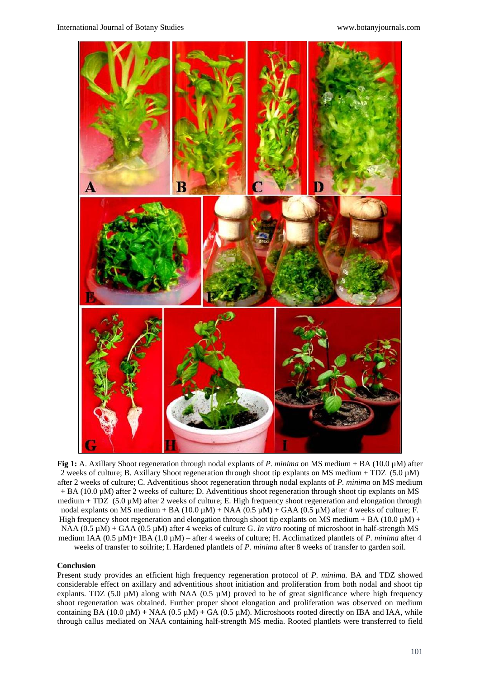

**Fig 1:** A. Axillary Shoot regeneration through nodal explants of *P. minima* on MS medium + BA (10.0 µM) after 2 weeks of culture; B. Axillary Shoot regeneration through shoot tip explants on MS medium + TDZ  $(5.0 \mu M)$ after 2 weeks of culture; C. Adventitious shoot regeneration through nodal explants of *P. minima* on MS medium + BA (10.0 µM) after 2 weeks of culture; D. Adventitious shoot regeneration through shoot tip explants on MS medium + TDZ  $(5.0 \mu M)$  after 2 weeks of culture; E. High frequency shoot regeneration and elongation through nodal explants on MS medium + BA (10.0  $\mu$ M) + NAA (0.5  $\mu$ M) + GAA (0.5  $\mu$ M) after 4 weeks of culture; F. High frequency shoot regeneration and elongation through shoot tip explants on MS medium + BA (10.0  $\mu$ M) + NAA (0.5 µM) + GAA (0.5 µM) after 4 weeks of culture G. *In vitro* rooting of microshoot in half-strength MS medium IAA (0.5 µM)+ IBA (1.0 µM) – after 4 weeks of culture; H. Acclimatized plantlets of *P. minima* after 4 weeks of transfer to soilrite; I. Hardened plantlets of *P. minima* after 8 weeks of transfer to garden soil.

#### **Conclusion**

Present study provides an efficient high frequency regeneration protocol of *P. minima.* BA and TDZ showed considerable effect on axillary and adventitious shoot initiation and proliferation from both nodal and shoot tip explants. TDZ (5.0  $\mu$ M) along with NAA (0.5  $\mu$ M) proved to be of great significance where high frequency shoot regeneration was obtained. Further proper shoot elongation and proliferation was observed on medium containing BA (10.0  $\mu$ M) + NAA (0.5  $\mu$ M) + GA (0.5  $\mu$ M). Microshoots rooted directly on IBA and IAA, while through callus mediated on NAA containing half-strength MS media. Rooted plantlets were transferred to field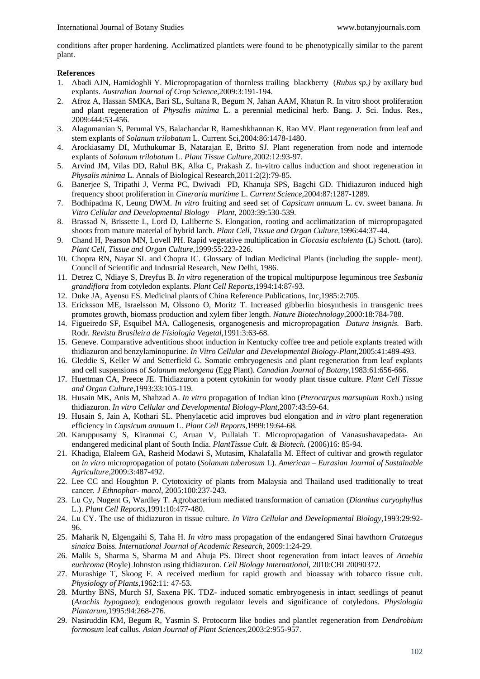conditions after proper hardening. Acclimatized plantlets were found to be phenotypically similar to the parent plant.

## **References**

- 1. Abadi AJN, Hamidoghli Y. Micropropagation of thornless trailing blackberry (*Rubus sp.)* by axillary bud explants. *Australian Journal of Crop Science,*2009:3:191-194.
- 2. Afroz A, Hassan SMKA, Bari SL, Sultana R, Begum N, Jahan AAM, Khatun R. In vitro shoot proliferation and plant regeneration of *Physalis minima* L. a perennial medicinal herb. Bang. J. Sci. Indus. Res., 2009:444:53-456.
- 3. Alagumanian S, Perumal VS, Balachandar R, Rameshkhannan K, Rao MV. Plant regeneration from leaf and stem explants of *Solanum trilobatum* L. Current Sci,2004:86:1478-1480.
- 4. Arockiasamy DI, Muthukumar B, Natarajan E, Britto SJ. Plant regeneration from node and internode explants of *Solanum trilobatum* L. *Plant Tissue Culture*,2002:12:93-97.
- 5. Arvind JM, Vilas DD, Rahul BK, Alka C, Prakash Z. In-vitro callus induction and shoot regeneration in *Physalis minima* L. Annals of Biological Research,2011:2(2):79-85.
- 6. Banerjee S, Tripathi J, Verma PC, Dwivadi PD, Khanuja SPS, Bagchi GD. Thidiazuron induced high frequency shoot proliferation in *Cineraria maritime* L. *Current Science*,2004:87:1287-1289.
- 7. Bodhipadma K, Leung DWM. *In vitro* fruiting and seed set of *Capsicum annuum* L. cv. sweet banana. *In Vitro Cellular and Developmental Biology – Plant,* 2003:39:530-539.
- 8. Brassad N, Brissette L, Lord D, Laliberrte S. Elongation, rooting and acclimatization of micropropagated shoots from mature material of hybrid larch. *Plant Cell, Tissue and Organ Culture,*1996:44:37-44.
- 9. Chand H, Pearson MN, Lovell PH. Rapid vegetative multiplication in *Clocasia esclulenta* (L) Schott. (taro). *Plant Cell, Tissue and Organ Culture*,1999:55:223-226.
- 10. Chopra RN, Nayar SL and Chopra IC. Glossary of Indian Medicinal Plants (including the supple- ment). Council of Scientific and Industrial Research, New Delhi, 1986.
- 11. Detrez C, Ndiaye S, Dreyfus B. *In vitro* regeneration of the tropical multipurpose leguminous tree *Sesbania grandiflora* from cotyledon explants. *Plant Cell Reports*,1994:14:87-93.
- 12. Duke JA, Ayensu ES. Medicinal plants of China Reference Publications, Inc,1985:2:705.
- 13. Ericksson ME, Israelsson M, Olssono O, Moritz T. Increased gibberlin biosynthesis in transgenic trees promotes growth, biomass production and xylem fiber length. *Nature Biotechnology,*2000:18:784-788.
- 14. Figueiredo SF, Esquibel MA. Callogenesis, organogenesis and micropropagation *Datura insignis.* Barb. Rodr*. Revista Brasileira de Fisiologia Vegetal*,1991:3:63-68.
- 15. Geneve. Comparative adventitious shoot induction in Kentucky coffee tree and petiole explants treated with thidiazuron and benzylaminopurine. *In Vitro Cellular and Developmental Biology-Plant,*2005:41:489-493.
- 16. Gleddie S, Keller W and Setterfield G. Somatic embryogenesis and plant regeneration from leaf explants and cell suspensions of *Solanum melongena* (Egg Plant). *Canadian Journal of Botany,*1983:61:656-666.
- 17. Huettman CA, Preece JE. Thidiazuron a potent cytokinin for woody plant tissue culture. *Plant Cell Tissue and Organ Culture,*1993:33:105-119.
- 18. Husain MK, Anis M, Shahzad A. *In vitro* propagation of Indian kino (*Pterocarpus marsupium* Roxb.) using thidiazuron. *In vitro Cellular and Developmental Biology-Plant,*2007:43:59-64.
- 19. Husain S, Jain A, Kothari SL. Phenylacetic acid improves bud elongation and *in vitro* plant regeneration efficiency in *Capsicum annuum* L. *Plant Cell Reports,*1999:19:64-68.
- 20. Karuppusamy S, Kiranmai C, Aruan V, Pullaiah T. Micropropagation of Vanasushavapedata- An endangered medicinal plant of South India. *PlantTissue Cult. & Biotech.* (2006)16: 85-94.
- 21. Khadiga, Elaleem GA, Rasheid Modawi S, Mutasim, Khalafalla M. Effect of cultivar and growth regulator on *in vitro* micropropagation of potato (*Solanum tuberosum* L). *American – Eurasian Journal of Sustainable Agriculture,*2009:3:487-492.
- 22. Lee CC and Houghton P. Cytotoxicity of plants from Malaysia and Thailand used traditionally to treat cancer. *J Ethnophar- macol*, 2005:100:237-243.
- 23. Lu Cy, Nugent G, Wardley T. Agrobacterium mediated transformation of carnation (*Dianthus caryophyllus*  L.). *Plant Cell Reports,*1991:10:477-480.
- 24. Lu CY. The use of thidiazuron in tissue culture. *In Vitro Cellular and Developmental Biology,*1993:29:92- 96.
- 25. Maharik N, Elgengaihi S, Taha H. *In vitro* mass propagation of the endangered Sinai hawthorn *Crataegus sinaica* Boiss. *International Journal of Academic Research*, 2009:1:24-29.
- 26. Malik S, Sharma S, Sharma M and Ahuja PS. Direct shoot regeneration from intact leaves of *Arnebia euchroma* (Royle) Johnston using thidiazuron. *Cell Biology International,* 2010:CBI 20090372.
- 27. Murashige T, Skoog F. A received medium for rapid growth and bioassay with tobacco tissue cult. *Physiology of Plants*,1962:11: 47-53.
- 28. Murthy BNS, Murch SJ, Saxena PK. TDZ- induced somatic embryogenesis in intact seedlings of peanut (*Arachis hypogaea*); endogenous growth regulator levels and significance of cotyledons. *Physiologia Plantarum,*1995:94:268-276.
- 29. Nasiruddin KM, Begum R, Yasmin S. Protocorm like bodies and plantlet regeneration from *Dendrobium formosum* leaf callus. *Asian Journal of Plant Sciences,*2003:2:955-957.